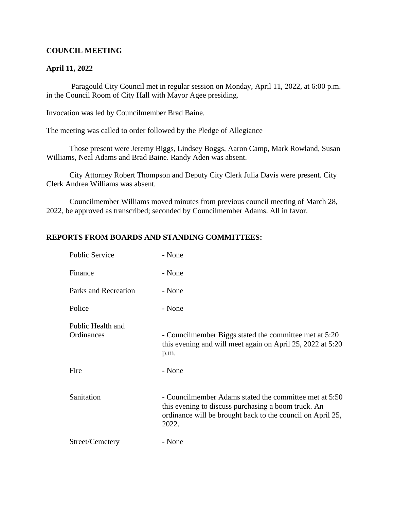## **COUNCIL MEETING**

## **April 11, 2022**

 Paragould City Council met in regular session on Monday, April 11, 2022, at 6:00 p.m. in the Council Room of City Hall with Mayor Agee presiding.

Invocation was led by Councilmember Brad Baine.

The meeting was called to order followed by the Pledge of Allegiance

Those present were Jeremy Biggs, Lindsey Boggs, Aaron Camp, Mark Rowland, Susan Williams, Neal Adams and Brad Baine. Randy Aden was absent.

City Attorney Robert Thompson and Deputy City Clerk Julia Davis were present. City Clerk Andrea Williams was absent.

Councilmember Williams moved minutes from previous council meeting of March 28, 2022, be approved as transcribed; seconded by Councilmember Adams. All in favor.

### **REPORTS FROM BOARDS AND STANDING COMMITTEES:**

| <b>Public Service</b>           | - None                                                                                                                                                                               |
|---------------------------------|--------------------------------------------------------------------------------------------------------------------------------------------------------------------------------------|
| Finance                         | - None                                                                                                                                                                               |
| Parks and Recreation            | - None                                                                                                                                                                               |
| Police                          | - None                                                                                                                                                                               |
| Public Health and<br>Ordinances | - Councilmember Biggs stated the committee met at 5:20<br>this evening and will meet again on April 25, 2022 at 5:20<br>p.m.                                                         |
| Fire                            | - None                                                                                                                                                                               |
| Sanitation                      | - Councilmember Adams stated the committee met at 5:50<br>this evening to discuss purchasing a boom truck. An<br>ordinance will be brought back to the council on April 25,<br>2022. |
| Street/Cemetery                 | - None                                                                                                                                                                               |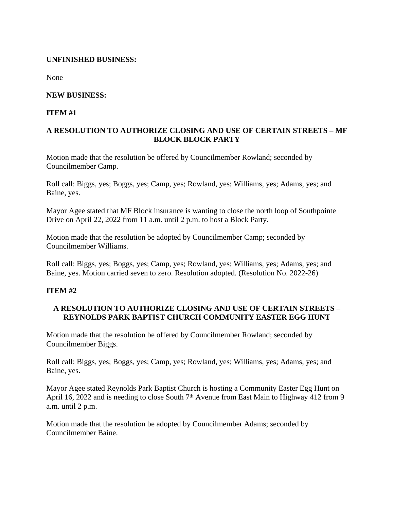## **UNFINISHED BUSINESS:**

None

## **NEW BUSINESS:**

## **ITEM #1**

# **A RESOLUTION TO AUTHORIZE CLOSING AND USE OF CERTAIN STREETS – MF BLOCK BLOCK PARTY**

Motion made that the resolution be offered by Councilmember Rowland; seconded by Councilmember Camp.

Roll call: Biggs, yes; Boggs, yes; Camp, yes; Rowland, yes; Williams, yes; Adams, yes; and Baine, yes.

Mayor Agee stated that MF Block insurance is wanting to close the north loop of Southpointe Drive on April 22, 2022 from 11 a.m. until 2 p.m. to host a Block Party.

Motion made that the resolution be adopted by Councilmember Camp; seconded by Councilmember Williams.

Roll call: Biggs, yes; Boggs, yes; Camp, yes; Rowland, yes; Williams, yes; Adams, yes; and Baine, yes. Motion carried seven to zero. Resolution adopted. (Resolution No. 2022-26)

### **ITEM #2**

# **A RESOLUTION TO AUTHORIZE CLOSING AND USE OF CERTAIN STREETS – REYNOLDS PARK BAPTIST CHURCH COMMUNITY EASTER EGG HUNT**

Motion made that the resolution be offered by Councilmember Rowland; seconded by Councilmember Biggs.

Roll call: Biggs, yes; Boggs, yes; Camp, yes; Rowland, yes; Williams, yes; Adams, yes; and Baine, yes.

Mayor Agee stated Reynolds Park Baptist Church is hosting a Community Easter Egg Hunt on April 16, 2022 and is needing to close South  $7<sup>th</sup>$  Avenue from East Main to Highway 412 from 9 a.m. until 2 p.m.

Motion made that the resolution be adopted by Councilmember Adams; seconded by Councilmember Baine.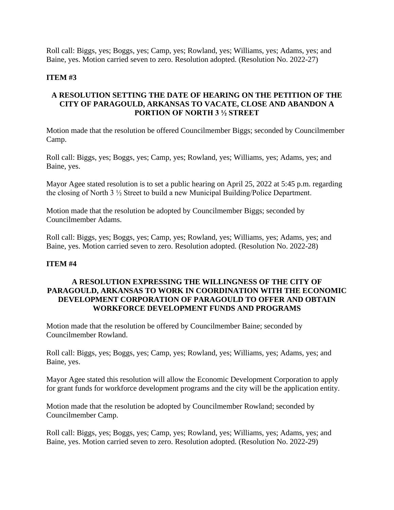Roll call: Biggs, yes; Boggs, yes; Camp, yes; Rowland, yes; Williams, yes; Adams, yes; and Baine, yes. Motion carried seven to zero. Resolution adopted. (Resolution No. 2022-27)

## **ITEM #3**

## **A RESOLUTION SETTING THE DATE OF HEARING ON THE PETITION OF THE CITY OF PARAGOULD, ARKANSAS TO VACATE, CLOSE AND ABANDON A PORTION OF NORTH 3 ½ STREET**

Motion made that the resolution be offered Councilmember Biggs; seconded by Councilmember Camp.

Roll call: Biggs, yes; Boggs, yes; Camp, yes; Rowland, yes; Williams, yes; Adams, yes; and Baine, yes.

Mayor Agee stated resolution is to set a public hearing on April 25, 2022 at 5:45 p.m. regarding the closing of North 3 ½ Street to build a new Municipal Building/Police Department.

Motion made that the resolution be adopted by Councilmember Biggs; seconded by Councilmember Adams.

Roll call: Biggs, yes; Boggs, yes; Camp, yes; Rowland, yes; Williams, yes; Adams, yes; and Baine, yes. Motion carried seven to zero. Resolution adopted. (Resolution No. 2022-28)

### **ITEM #4**

# **A RESOLUTION EXPRESSING THE WILLINGNESS OF THE CITY OF PARAGOULD, ARKANSAS TO WORK IN COORDINATION WITH THE ECONOMIC DEVELOPMENT CORPORATION OF PARAGOULD TO OFFER AND OBTAIN WORKFORCE DEVELOPMENT FUNDS AND PROGRAMS**

Motion made that the resolution be offered by Councilmember Baine; seconded by Councilmember Rowland.

Roll call: Biggs, yes; Boggs, yes; Camp, yes; Rowland, yes; Williams, yes; Adams, yes; and Baine, yes.

Mayor Agee stated this resolution will allow the Economic Development Corporation to apply for grant funds for workforce development programs and the city will be the application entity.

Motion made that the resolution be adopted by Councilmember Rowland; seconded by Councilmember Camp.

Roll call: Biggs, yes; Boggs, yes; Camp, yes; Rowland, yes; Williams, yes; Adams, yes; and Baine, yes. Motion carried seven to zero. Resolution adopted. (Resolution No. 2022-29)